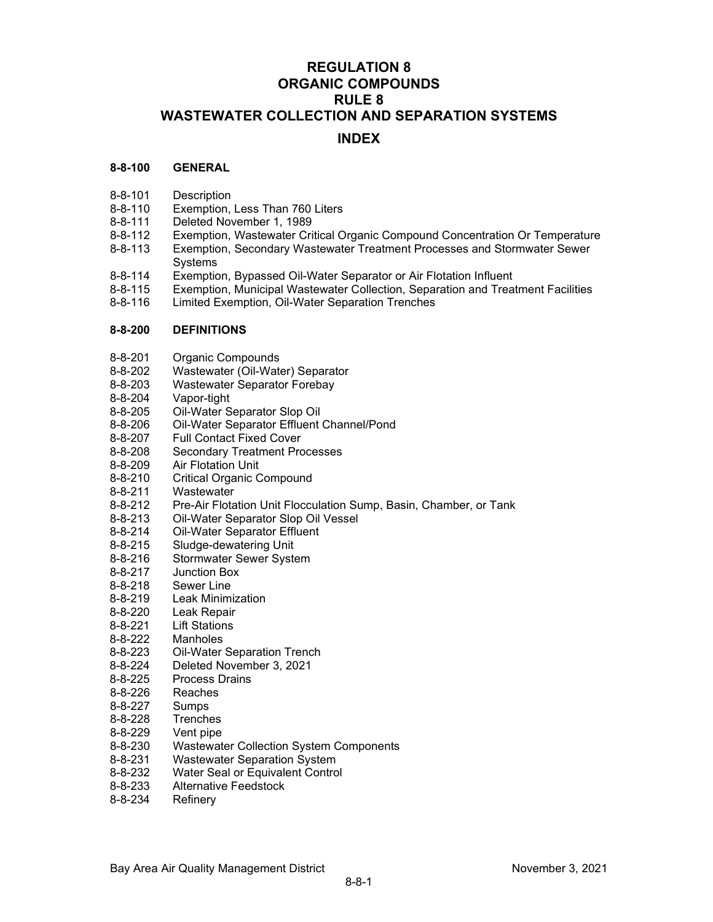# **REGULATION 8 ORGANIC COMPOUNDS RULE 8 WASTEWATER COLLECTION AND SEPARATION SYSTEMS**

# **INDEX**

## **8-8-100 GENERAL**

- 8-8-101 Description
- 8-8-110 Exemption, Less Than 760 Liters<br>8-8-111 Deleted November 1, 1989
- 8-8-111 Deleted November 1, 1989<br>8-8-112 Exemption, Wastewater Cri
- Exemption, Wastewater Critical Organic Compound Concentration Or Temperature
- 8-8-113 Exemption, Secondary Wastewater Treatment Processes and Stormwater Sewer Systems
- 8-8-114 Exemption, Bypassed Oil-Water Separator or Air Flotation Influent
- 8-8-115 Exemption, Municipal Wastewater Collection, Separation and Treatment Facilities
- Limited Exemption, Oil-Water Separation Trenches

### **8-8-200 DEFINITIONS**

- 8-8-201 Organic Compounds<br>8-8-202 Wastewater (Oil-Wate
- Wastewater (Oil-Water) Separator
- 8-8-203 Wastewater Separator Forebay<br>8-8-204 Vapor-tight
- Vapor-tight
- 8-8-205 Oil-Water Separator Slop Oil<br>8-8-206 Oil-Water Separator Effluent
- 8-8-206 Oil-Water Separator Effluent Channel/Pond<br>8-8-207 Full Contact Fixed Cover
- **Full Contact Fixed Cover**
- 8-8-208 Secondary Treatment Processes<br>8-8-209 Air Flotation Unit
- **Air Flotation Unit**
- 8-8-210 Critical Organic Compound
- 8-8-211 Wastewater
- 8-8-212 Pre-Air Flotation Unit Flocculation Sump, Basin, Chamber, or Tank
- 8-8-213 Oil-Water Separator Slop Oil Vessel
- 8-8-214 Oil-Water Separator Effluent<br>8-8-215 Sludge-dewatering Unit
- 8-8-215 Sludge-dewatering Unit<br>8-8-216 Stormwater Sewer Syste
- Stormwater Sewer System
- 8-8-217 Junction Box
- 8-8-218 Sewer Line
- 8-8-219 Leak Minimization
- 8-8-220 Leak Repair<br>8-8-221 Lift Stations
- **Lift Stations**
- 8-8-222 Manholes
- 8-8-223 Oil-Water Separation Trench<br>8-8-224 Deleted November 3, 2021
- Deleted November 3, 2021
- 8-8-225 Process Drains
- 8-8-226 Reaches
- 8-8-227 Sumps
- 8-8-228 Trenches
- 8-8-229 Vent pipe
- 8-8-230 Wastewater Collection System Components
- 8-8-231 Wastewater Separation System
- 8-8-232 Water Seal or Equivalent Control
- 8-8-233 Alternative Feedstock<br>8-8-234 Refinerv
- Refinery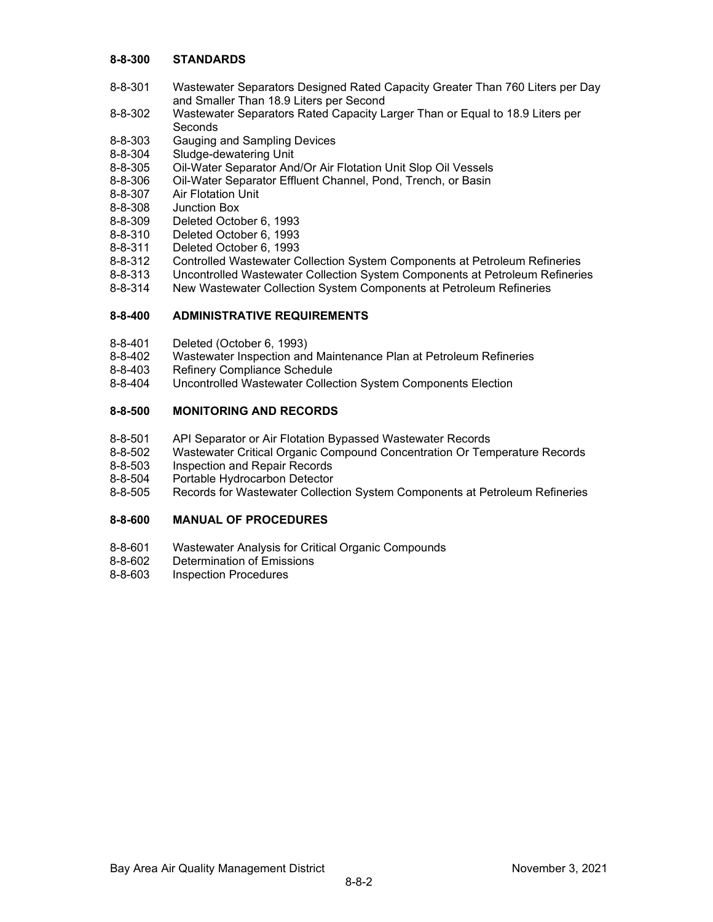## **8-8-300 STANDARDS**

- 8-8-301 Wastewater Separators Designed Rated Capacity Greater Than 760 Liters per Day and Smaller Than 18.9 Liters per Second
- 8-8-302 Wastewater Separators Rated Capacity Larger Than or Equal to 18.9 Liters per **Seconds**
- 8-8-303 Gauging and Sampling Devices
- 8-8-304 Sludge-dewatering Unit
- 8-8-305 Oil-Water Separator And/Or Air Flotation Unit Slop Oil Vessels
- 8-8-306 Oil-Water Separator Effluent Channel, Pond, Trench, or Basin<br>8-8-307 Air Flotation Unit
- 8-8-307 Air Flotation Unit<br>8-8-308 Junction Box
- Junction Box
- 8-8-309 Deleted October 6, 1993
- 8-8-310 Deleted October 6, 1993
- 8-8-311 Deleted October 6, 1993
- 8-8-312 Controlled Wastewater Collection System Components at Petroleum Refineries
- 8-8-313 Uncontrolled Wastewater Collection System Components at Petroleum Refineries
- New Wastewater Collection System Components at Petroleum Refineries

# **8-8-400 ADMINISTRATIVE REQUIREMENTS**

- 8-8-401 Deleted (October 6, 1993)
- 8-8-402 Wastewater Inspection and Maintenance Plan at Petroleum Refineries
- 8-8-403 Refinery Compliance Schedule
- 8-8-404 Uncontrolled Wastewater Collection System Components Election

# **8-8-500 MONITORING AND RECORDS**

- 8-8-501 API Separator or Air Flotation Bypassed Wastewater Records
- 8-8-502 Wastewater Critical Organic Compound Concentration Or Temperature Records
- 8-8-503 Inspection and Repair Records<br>8-8-504 Portable Hydrocarbon Detector
- Portable Hydrocarbon Detector
- 8-8-505 Records for Wastewater Collection System Components at Petroleum Refineries

## **8-8-600 MANUAL OF PROCEDURES**

- 8-8-601 Wastewater Analysis for Critical Organic Compounds
- 8-8-602 Determination of Emissions
- 8-8-603 Inspection Procedures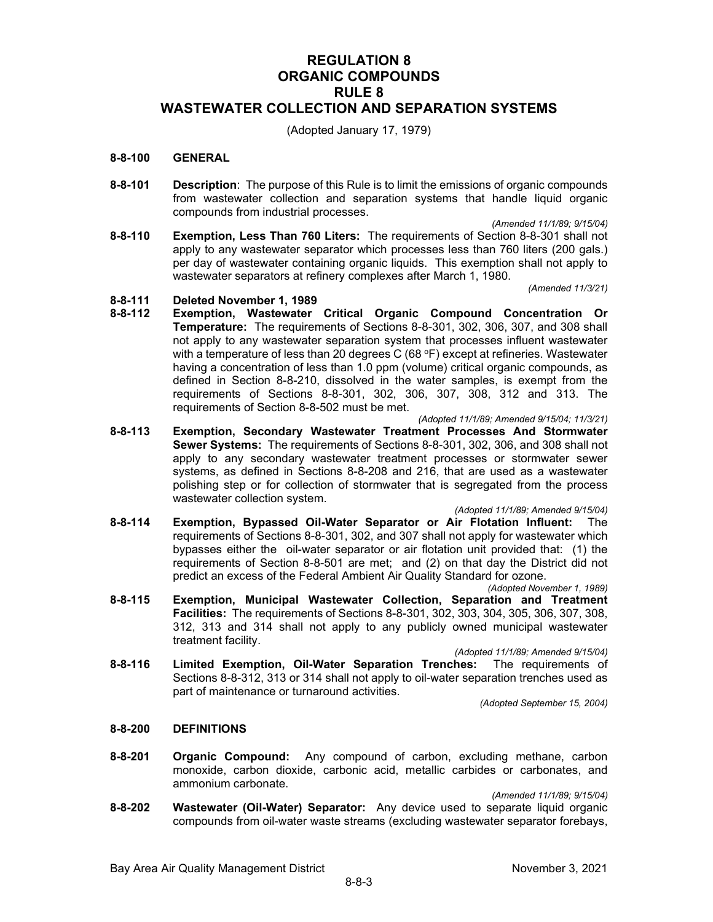# **REGULATION 8 ORGANIC COMPOUNDS RULE 8 WASTEWATER COLLECTION AND SEPARATION SYSTEMS**

(Adopted January 17, 1979)

### **8-8-100 GENERAL**

**8-8-101 Description**: The purpose of this Rule is to limit the emissions of organic compounds from wastewater collection and separation systems that handle liquid organic compounds from industrial processes.

*(Amended 11/1/89; 9/15/04)*

**8-8-110 Exemption, Less Than 760 Liters:** The requirements of Section 8-8-301 shall not apply to any wastewater separator which processes less than 760 liters (200 gals.) per day of wastewater containing organic liquids. This exemption shall not apply to wastewater separators at refinery complexes after March 1, 1980.

*(Amended 11/3/21)*

# **8-8-111 Deleted November 1, 1989**

- **8-8-112 Exemption, Wastewater Critical Organic Compound Concentration Or Temperature:** The requirements of Sections 8-8-301, 302, 306, 307, and 308 shall not apply to any wastewater separation system that processes influent wastewater with a temperature of less than 20 degrees  $C$  (68  $\degree$ F) except at refineries. Wastewater having a concentration of less than 1.0 ppm (volume) critical organic compounds, as defined in Section 8-8-210, dissolved in the water samples, is exempt from the requirements of Sections 8-8-301, 302, 306, 307, 308, 312 and 313. The requirements of Section 8-8-502 must be met.
- *(Adopted 11/1/89; Amended 9/15/04; 11/3/21)* **8-8-113 Exemption, Secondary Wastewater Treatment Processes And Stormwater Sewer Systems:** The requirements of Sections 8-8-301, 302, 306, and 308 shall not apply to any secondary wastewater treatment processes or stormwater sewer systems, as defined in Sections 8-8-208 and 216, that are used as a wastewater polishing step or for collection of stormwater that is segregated from the process wastewater collection system.

*(Adopted 11/1/89; Amended 9/15/04)*

- **8-8-114 Exemption, Bypassed Oil-Water Separator or Air Flotation Influent:** The requirements of Sections 8-8-301, 302, and 307 shall not apply for wastewater which bypasses either the oil-water separator or air flotation unit provided that: (1) the requirements of Section 8-8-501 are met; and (2) on that day the District did not predict an excess of the Federal Ambient Air Quality Standard for ozone. *(Adopted November 1, 1989)*
- **8-8-115 Exemption, Municipal Wastewater Collection, Separation and Treatment Facilities:** The requirements of Sections 8-8-301, 302, 303, 304, 305, 306, 307, 308, 312, 313 and 314 shall not apply to any publicly owned municipal wastewater treatment facility.

*(Adopted 11/1/89; Amended 9/15/04)*

**8-8-116 Limited Exemption, Oil-Water Separation Trenches:** The requirements of Sections 8-8-312, 313 or 314 shall not apply to oil-water separation trenches used as part of maintenance or turnaround activities.

*(Adopted September 15, 2004)*

# **8-8-200 DEFINITIONS**

**8-8-201 Organic Compound:** Any compound of carbon, excluding methane, carbon monoxide, carbon dioxide, carbonic acid, metallic carbides or carbonates, and ammonium carbonate.

*(Amended 11/1/89; 9/15/04)*

**8-8-202 Wastewater (Oil-Water) Separator:** Any device used to separate liquid organic compounds from oil-water waste streams (excluding wastewater separator forebays,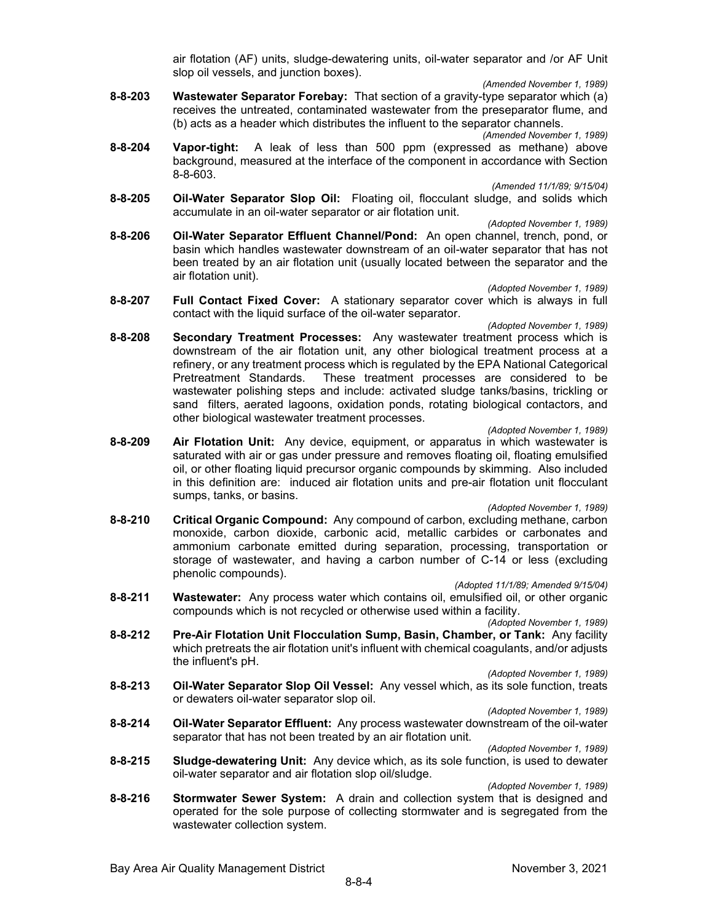air flotation (AF) units, sludge-dewatering units, oil-water separator and /or AF Unit slop oil vessels, and junction boxes).

*(Amended November 1, 1989)*

**8-8-203 Wastewater Separator Forebay:** That section of a gravity-type separator which (a) receives the untreated, contaminated wastewater from the preseparator flume, and (b) acts as a header which distributes the influent to the separator channels.

*(Amended November 1, 1989)*

**8-8-204 Vapor-tight:** A leak of less than 500 ppm (expressed as methane) above background, measured at the interface of the component in accordance with Section 8-8-603.

*(Amended 11/1/89; 9/15/04)*

**8-8-205 Oil-Water Separator Slop Oil:** Floating oil, flocculant sludge, and solids which accumulate in an oil-water separator or air flotation unit.

*(Adopted November 1, 1989)*

**8-8-206 Oil-Water Separator Effluent Channel/Pond:** An open channel, trench, pond, or basin which handles wastewater downstream of an oil-water separator that has not been treated by an air flotation unit (usually located between the separator and the air flotation unit).

*(Adopted November 1, 1989)*

**8-8-207 Full Contact Fixed Cover:** A stationary separator cover which is always in full contact with the liquid surface of the oil-water separator.

*(Adopted November 1, 1989)*

**8-8-208 Secondary Treatment Processes:** Any wastewater treatment process which is downstream of the air flotation unit, any other biological treatment process at a refinery, or any treatment process which is regulated by the EPA National Categorical Pretreatment Standards. These treatment processes are considered to be wastewater polishing steps and include: activated sludge tanks/basins, trickling or sand filters, aerated lagoons, oxidation ponds, rotating biological contactors, and other biological wastewater treatment processes.

*(Adopted November 1, 1989)*

**8-8-209 Air Flotation Unit:** Any device, equipment, or apparatus in which wastewater is saturated with air or gas under pressure and removes floating oil, floating emulsified oil, or other floating liquid precursor organic compounds by skimming. Also included in this definition are: induced air flotation units and pre-air flotation unit flocculant sumps, tanks, or basins.

*(Adopted November 1, 1989)*

**8-8-210 Critical Organic Compound:** Any compound of carbon, excluding methane, carbon monoxide, carbon dioxide, carbonic acid, metallic carbides or carbonates and ammonium carbonate emitted during separation, processing, transportation or storage of wastewater, and having a carbon number of C-14 or less (excluding phenolic compounds).

*(Adopted 11/1/89; Amended 9/15/04)*

**8-8-211 Wastewater:** Any process water which contains oil, emulsified oil, or other organic compounds which is not recycled or otherwise used within a facility.

*(Adopted November 1, 1989)*

**8-8-212 Pre-Air Flotation Unit Flocculation Sump, Basin, Chamber, or Tank:** Any facility which pretreats the air flotation unit's influent with chemical coagulants, and/or adjusts the influent's pH.

*(Adopted November 1, 1989)*

**8-8-213 Oil-Water Separator Slop Oil Vessel:** Any vessel which, as its sole function, treats or dewaters oil-water separator slop oil.

*(Adopted November 1, 1989)*

**8-8-214 Oil-Water Separator Effluent:** Any process wastewater downstream of the oil-water separator that has not been treated by an air flotation unit.

*(Adopted November 1, 1989)*

**8-8-215 Sludge-dewatering Unit:** Any device which, as its sole function, is used to dewater oil-water separator and air flotation slop oil/sludge.

*(Adopted November 1, 1989)*

**8-8-216 Stormwater Sewer System:** A drain and collection system that is designed and operated for the sole purpose of collecting stormwater and is segregated from the wastewater collection system.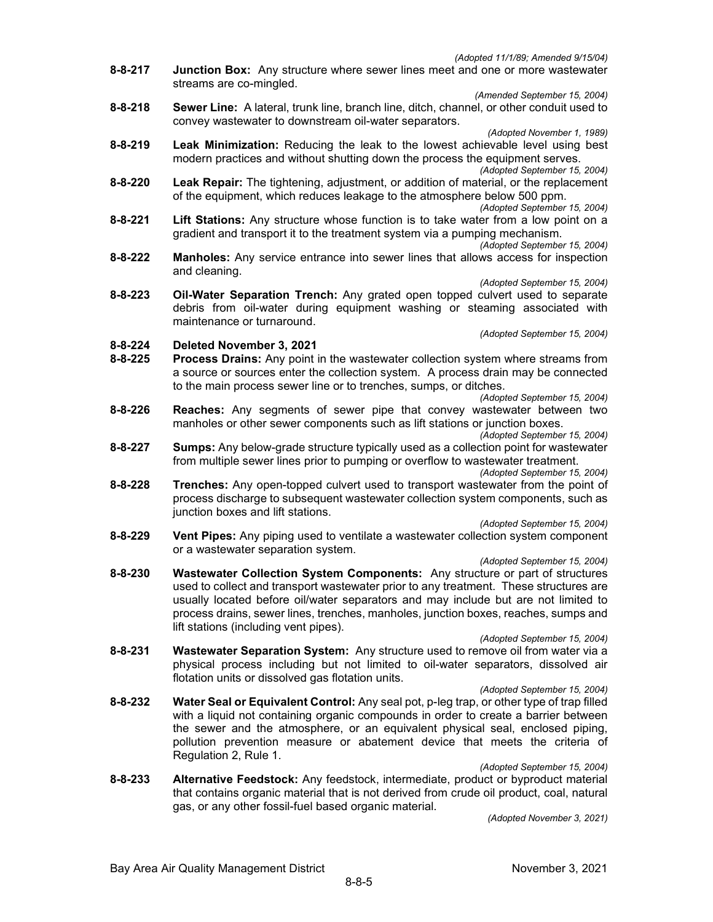*(Adopted 11/1/89; Amended 9/15/04)*

**8-8-217 Junction Box:** Any structure where sewer lines meet and one or more wastewater streams are co-mingled.

*(Amended September 15, 2004)*

**8-8-218 Sewer Line:** A lateral, trunk line, branch line, ditch, channel, or other conduit used to convey wastewater to downstream oil-water separators.

*(Adopted November 1, 1989)*

- **8-8-219 Leak Minimization:** Reducing the leak to the lowest achievable level using best modern practices and without shutting down the process the equipment serves. *(Adopted September 15, 2004)*
- **8-8-220 Leak Repair:** The tightening, adjustment, or addition of material, or the replacement of the equipment, which reduces leakage to the atmosphere below 500 ppm.

*(Adopted September 15, 2004)*

- **8-8-221 Lift Stations:** Any structure whose function is to take water from a low point on a gradient and transport it to the treatment system via a pumping mechanism.
- *(Adopted September 15, 2004)* **8-8-222 Manholes:** Any service entrance into sewer lines that allows access for inspection and cleaning.

*(Adopted September 15, 2004)*

**8-8-223 Oil-Water Separation Trench:** Any grated open topped culvert used to separate debris from oil-water during equipment washing or steaming associated with maintenance or turnaround.

*(Adopted September 15, 2004)*

- **8-8-224 Deleted November 3, 2021**
- **Process Drains:** Any point in the wastewater collection system where streams from a source or sources enter the collection system. A process drain may be connected to the main process sewer line or to trenches, sumps, or ditches.
- *(Adopted September 15, 2004)* **8-8-226 Reaches:** Any segments of sewer pipe that convey wastewater between two manholes or other sewer components such as lift stations or junction boxes.

*(Adopted September 15, 2004)*

**8-8-227 Sumps:** Any below-grade structure typically used as a collection point for wastewater from multiple sewer lines prior to pumping or overflow to wastewater treatment.

*(Adopted September 15, 2004)*

**8-8-228 Trenches:** Any open-topped culvert used to transport wastewater from the point of process discharge to subsequent wastewater collection system components, such as junction boxes and lift stations.

*(Adopted September 15, 2004)*

- **8-8-229 Vent Pipes:** Any piping used to ventilate a wastewater collection system component or a wastewater separation system.
- *(Adopted September 15, 2004)* **8-8-230 Wastewater Collection System Components:** Any structure or part of structures used to collect and transport wastewater prior to any treatment. These structures are usually located before oil/water separators and may include but are not limited to process drains, sewer lines, trenches, manholes, junction boxes, reaches, sumps and lift stations (including vent pipes).

*(Adopted September 15, 2004)* **8-8-231 Wastewater Separation System:** Any structure used to remove oil from water via a physical process including but not limited to oil-water separators, dissolved air flotation units or dissolved gas flotation units.

- *(Adopted September 15, 2004)*
- **8-8-232 Water Seal or Equivalent Control:** Any seal pot, p-leg trap, or other type of trap filled with a liquid not containing organic compounds in order to create a barrier between the sewer and the atmosphere, or an equivalent physical seal, enclosed piping, pollution prevention measure or abatement device that meets the criteria of Regulation 2, Rule 1.
- *(Adopted September 15, 2004)* **8-8-233 Alternative Feedstock:** Any feedstock, intermediate, product or byproduct material that contains organic material that is not derived from crude oil product, coal, natural gas, or any other fossil-fuel based organic material.

*(Adopted November 3, 2021)*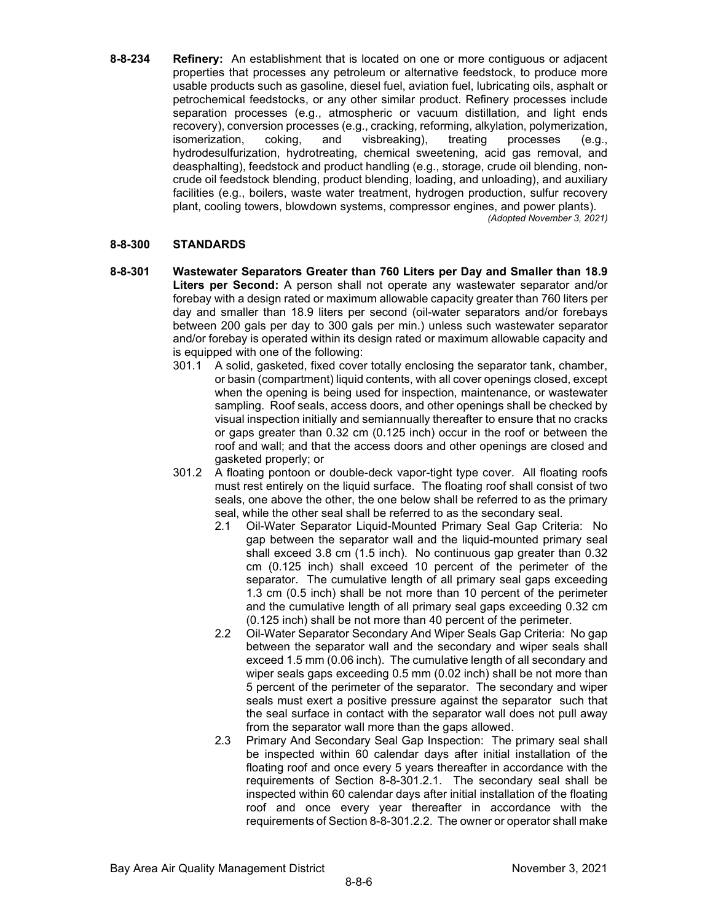**8-8-234 Refinery:** An establishment that is located on one or more contiguous or adjacent properties that processes any petroleum or alternative feedstock, to produce more usable products such as gasoline, diesel fuel, aviation fuel, lubricating oils, asphalt or petrochemical feedstocks, or any other similar product. Refinery processes include separation processes (e.g., atmospheric or vacuum distillation, and light ends recovery), conversion processes (e.g., cracking, reforming, alkylation, polymerization, isomerization, coking, and visbreaking), treating processes (e.g., hydrodesulfurization, hydrotreating, chemical sweetening, acid gas removal, and deasphalting), feedstock and product handling (e.g., storage, crude oil blending, noncrude oil feedstock blending, product blending, loading, and unloading), and auxiliary facilities (e.g., boilers, waste water treatment, hydrogen production, sulfur recovery plant, cooling towers, blowdown systems, compressor engines, and power plants). *(Adopted November 3, 2021)*

## **8-8-300 STANDARDS**

- **8-8-301 Wastewater Separators Greater than 760 Liters per Day and Smaller than 18.9 Liters per Second:** A person shall not operate any wastewater separator and/or forebay with a design rated or maximum allowable capacity greater than 760 liters per day and smaller than 18.9 liters per second (oil-water separators and/or forebays between 200 gals per day to 300 gals per min.) unless such wastewater separator and/or forebay is operated within its design rated or maximum allowable capacity and is equipped with one of the following:
	- 301.1 A solid, gasketed, fixed cover totally enclosing the separator tank, chamber, or basin (compartment) liquid contents, with all cover openings closed, except when the opening is being used for inspection, maintenance, or wastewater sampling. Roof seals, access doors, and other openings shall be checked by visual inspection initially and semiannually thereafter to ensure that no cracks or gaps greater than 0.32 cm (0.125 inch) occur in the roof or between the roof and wall; and that the access doors and other openings are closed and gasketed properly; or
	- 301.2 A floating pontoon or double-deck vapor-tight type cover. All floating roofs must rest entirely on the liquid surface. The floating roof shall consist of two seals, one above the other, the one below shall be referred to as the primary seal, while the other seal shall be referred to as the secondary seal.
		- 2.1 Oil-Water Separator Liquid-Mounted Primary Seal Gap Criteria: No gap between the separator wall and the liquid-mounted primary seal shall exceed 3.8 cm (1.5 inch). No continuous gap greater than 0.32 cm (0.125 inch) shall exceed 10 percent of the perimeter of the separator. The cumulative length of all primary seal gaps exceeding 1.3 cm (0.5 inch) shall be not more than 10 percent of the perimeter and the cumulative length of all primary seal gaps exceeding 0.32 cm (0.125 inch) shall be not more than 40 percent of the perimeter.
		- 2.2 Oil-Water Separator Secondary And Wiper Seals Gap Criteria: No gap between the separator wall and the secondary and wiper seals shall exceed 1.5 mm (0.06 inch). The cumulative length of all secondary and wiper seals gaps exceeding 0.5 mm (0.02 inch) shall be not more than 5 percent of the perimeter of the separator. The secondary and wiper seals must exert a positive pressure against the separator such that the seal surface in contact with the separator wall does not pull away from the separator wall more than the gaps allowed.
		- 2.3 Primary And Secondary Seal Gap Inspection: The primary seal shall be inspected within 60 calendar days after initial installation of the floating roof and once every 5 years thereafter in accordance with the requirements of Section 8-8-301.2.1. The secondary seal shall be inspected within 60 calendar days after initial installation of the floating roof and once every year thereafter in accordance with the requirements of Section 8-8-301.2.2. The owner or operator shall make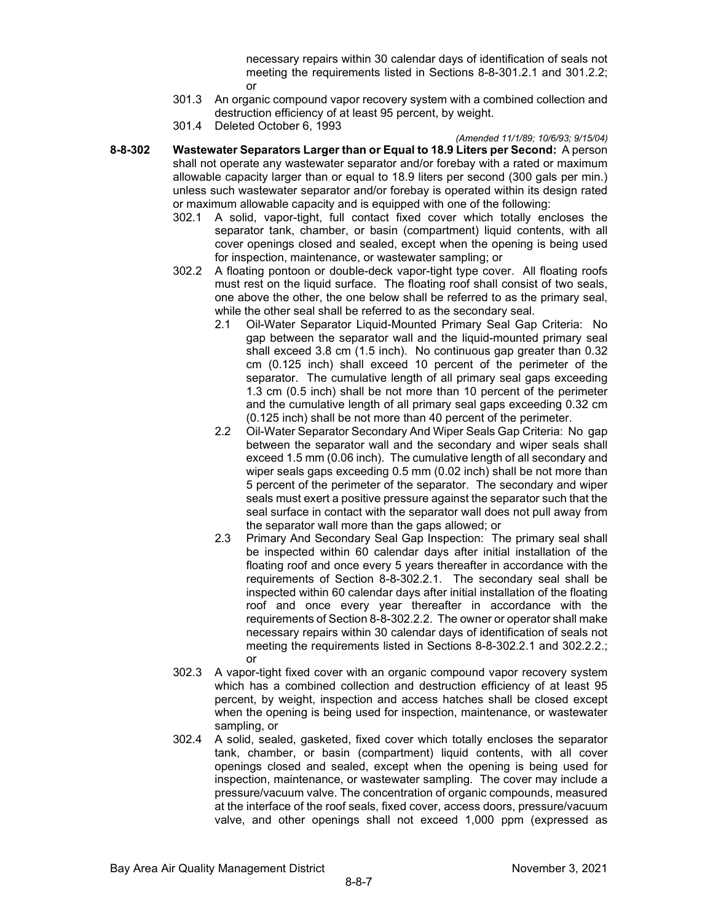necessary repairs within 30 calendar days of identification of seals not meeting the requirements listed in Sections 8-8-301.2.1 and 301.2.2; or

- 301.3 An organic compound vapor recovery system with a combined collection and destruction efficiency of at least 95 percent, by weight.
- 301.4 Deleted October 6, 1993

### *(Amended 11/1/89; 10/6/93; 9/15/04)*

- **8-8-302 Wastewater Separators Larger than or Equal to 18.9 Liters per Second:** A person shall not operate any wastewater separator and/or forebay with a rated or maximum allowable capacity larger than or equal to 18.9 liters per second (300 gals per min.) unless such wastewater separator and/or forebay is operated within its design rated or maximum allowable capacity and is equipped with one of the following:
	- 302.1 A solid, vapor-tight, full contact fixed cover which totally encloses the separator tank, chamber, or basin (compartment) liquid contents, with all cover openings closed and sealed, except when the opening is being used for inspection, maintenance, or wastewater sampling; or
	- 302.2 A floating pontoon or double-deck vapor-tight type cover. All floating roofs must rest on the liquid surface. The floating roof shall consist of two seals, one above the other, the one below shall be referred to as the primary seal, while the other seal shall be referred to as the secondary seal.
		- 2.1 Oil-Water Separator Liquid-Mounted Primary Seal Gap Criteria: No gap between the separator wall and the liquid-mounted primary seal shall exceed 3.8 cm (1.5 inch). No continuous gap greater than 0.32 cm (0.125 inch) shall exceed 10 percent of the perimeter of the separator. The cumulative length of all primary seal gaps exceeding 1.3 cm (0.5 inch) shall be not more than 10 percent of the perimeter and the cumulative length of all primary seal gaps exceeding 0.32 cm (0.125 inch) shall be not more than 40 percent of the perimeter.
		- 2.2 Oil-Water Separator Secondary And Wiper Seals Gap Criteria: No gap between the separator wall and the secondary and wiper seals shall exceed 1.5 mm (0.06 inch). The cumulative length of all secondary and wiper seals gaps exceeding 0.5 mm (0.02 inch) shall be not more than 5 percent of the perimeter of the separator. The secondary and wiper seals must exert a positive pressure against the separator such that the seal surface in contact with the separator wall does not pull away from the separator wall more than the gaps allowed; or
		- 2.3 Primary And Secondary Seal Gap Inspection: The primary seal shall be inspected within 60 calendar days after initial installation of the floating roof and once every 5 years thereafter in accordance with the requirements of Section 8-8-302.2.1. The secondary seal shall be inspected within 60 calendar days after initial installation of the floating roof and once every year thereafter in accordance with the requirements of Section 8-8-302.2.2. The owner or operator shall make necessary repairs within 30 calendar days of identification of seals not meeting the requirements listed in Sections 8-8-302.2.1 and 302.2.2.; or
	- 302.3 A vapor-tight fixed cover with an organic compound vapor recovery system which has a combined collection and destruction efficiency of at least 95 percent, by weight, inspection and access hatches shall be closed except when the opening is being used for inspection, maintenance, or wastewater sampling, or
	- 302.4 A solid, sealed, gasketed, fixed cover which totally encloses the separator tank, chamber, or basin (compartment) liquid contents, with all cover openings closed and sealed, except when the opening is being used for inspection, maintenance, or wastewater sampling. The cover may include a pressure/vacuum valve. The concentration of organic compounds, measured at the interface of the roof seals, fixed cover, access doors, pressure/vacuum valve, and other openings shall not exceed 1,000 ppm (expressed as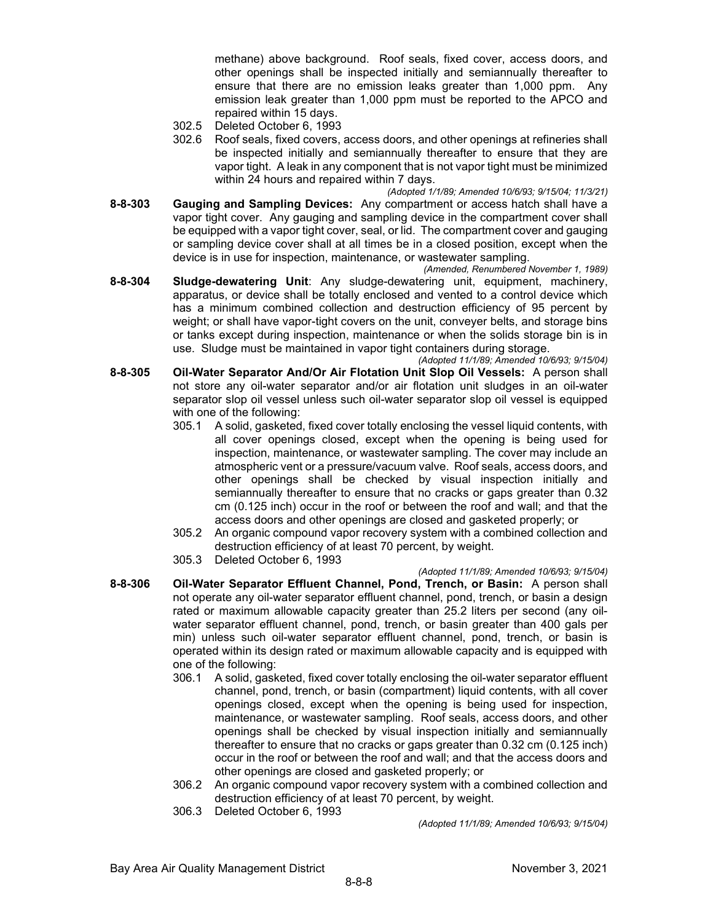methane) above background. Roof seals, fixed cover, access doors, and other openings shall be inspected initially and semiannually thereafter to ensure that there are no emission leaks greater than 1,000 ppm. Any emission leak greater than 1,000 ppm must be reported to the APCO and repaired within 15 days.

- 302.5 Deleted October 6, 1993
- 302.6 Roof seals, fixed covers, access doors, and other openings at refineries shall be inspected initially and semiannually thereafter to ensure that they are vapor tight. A leak in any component that is not vapor tight must be minimized within 24 hours and repaired within 7 days.

*(Adopted 1/1/89; Amended 10/6/93; 9/15/04; 11/3/21)*

**8-8-303 Gauging and Sampling Devices:** Any compartment or access hatch shall have a vapor tight cover. Any gauging and sampling device in the compartment cover shall be equipped with a vapor tight cover, seal, or lid. The compartment cover and gauging or sampling device cover shall at all times be in a closed position, except when the device is in use for inspection, maintenance, or wastewater sampling.

*(Amended, Renumbered November 1, 1989)* **8-8-304 Sludge-dewatering Unit**: Any sludge-dewatering unit, equipment, machinery, apparatus, or device shall be totally enclosed and vented to a control device which has a minimum combined collection and destruction efficiency of 95 percent by weight; or shall have vapor-tight covers on the unit, conveyer belts, and storage bins or tanks except during inspection, maintenance or when the solids storage bin is in use. Sludge must be maintained in vapor tight containers during storage.

*(Adopted 11/1/89; Amended 10/6/93; 9/15/04)*

- **8-8-305 Oil-Water Separator And/Or Air Flotation Unit Slop Oil Vessels:** A person shall not store any oil-water separator and/or air flotation unit sludges in an oil-water separator slop oil vessel unless such oil-water separator slop oil vessel is equipped with one of the following:
	- 305.1 A solid, gasketed, fixed cover totally enclosing the vessel liquid contents, with all cover openings closed, except when the opening is being used for inspection, maintenance, or wastewater sampling. The cover may include an atmospheric vent or a pressure/vacuum valve. Roof seals, access doors, and other openings shall be checked by visual inspection initially and semiannually thereafter to ensure that no cracks or gaps greater than 0.32 cm (0.125 inch) occur in the roof or between the roof and wall; and that the access doors and other openings are closed and gasketed properly; or
	- 305.2 An organic compound vapor recovery system with a combined collection and destruction efficiency of at least 70 percent, by weight.
	- 305.3 Deleted October 6, 1993
- *(Adopted 11/1/89; Amended 10/6/93; 9/15/04)* **8-8-306 Oil-Water Separator Effluent Channel, Pond, Trench, or Basin:** A person shall not operate any oil-water separator effluent channel, pond, trench, or basin a design rated or maximum allowable capacity greater than 25.2 liters per second (any oilwater separator effluent channel, pond, trench, or basin greater than 400 gals per min) unless such oil-water separator effluent channel, pond, trench, or basin is operated within its design rated or maximum allowable capacity and is equipped with one of the following:
	- 306.1 A solid, gasketed, fixed cover totally enclosing the oil-water separator effluent channel, pond, trench, or basin (compartment) liquid contents, with all cover openings closed, except when the opening is being used for inspection, maintenance, or wastewater sampling. Roof seals, access doors, and other openings shall be checked by visual inspection initially and semiannually thereafter to ensure that no cracks or gaps greater than 0.32 cm (0.125 inch) occur in the roof or between the roof and wall; and that the access doors and other openings are closed and gasketed properly; or
	- 306.2 An organic compound vapor recovery system with a combined collection and destruction efficiency of at least 70 percent, by weight.
	- 306.3 Deleted October 6, 1993

*(Adopted 11/1/89; Amended 10/6/93; 9/15/04)*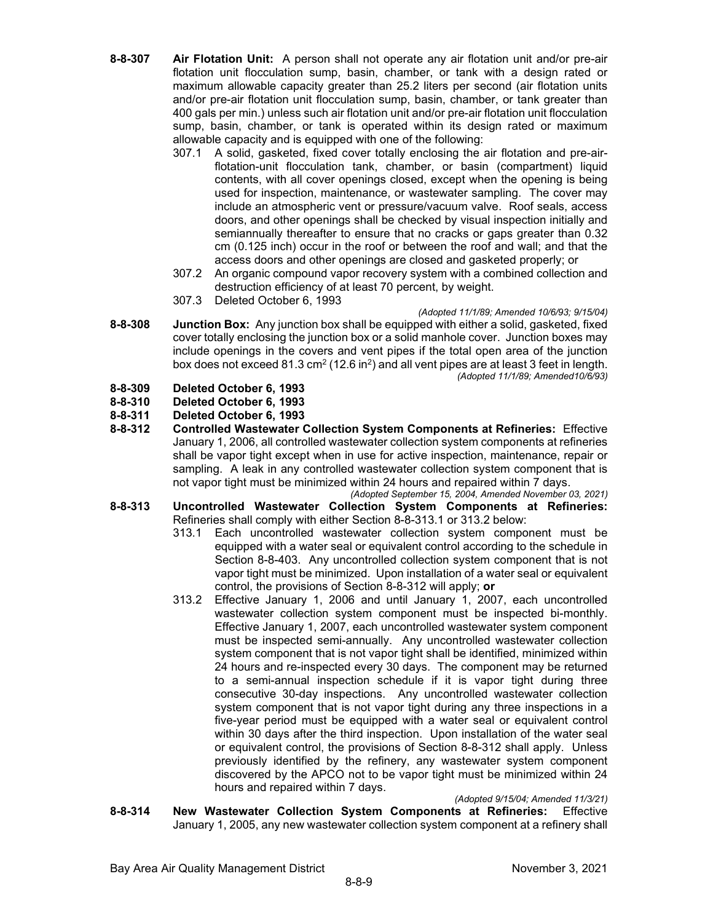- **8-8-307 Air Flotation Unit:** A person shall not operate any air flotation unit and/or pre-air flotation unit flocculation sump, basin, chamber, or tank with a design rated or maximum allowable capacity greater than 25.2 liters per second (air flotation units and/or pre-air flotation unit flocculation sump, basin, chamber, or tank greater than 400 gals per min.) unless such air flotation unit and/or pre-air flotation unit flocculation sump, basin, chamber, or tank is operated within its design rated or maximum allowable capacity and is equipped with one of the following:
	- 307.1 A solid, gasketed, fixed cover totally enclosing the air flotation and pre-airflotation-unit flocculation tank, chamber, or basin (compartment) liquid contents, with all cover openings closed, except when the opening is being used for inspection, maintenance, or wastewater sampling. The cover may include an atmospheric vent or pressure/vacuum valve. Roof seals, access doors, and other openings shall be checked by visual inspection initially and semiannually thereafter to ensure that no cracks or gaps greater than 0.32 cm (0.125 inch) occur in the roof or between the roof and wall; and that the access doors and other openings are closed and gasketed properly; or
	- 307.2 An organic compound vapor recovery system with a combined collection and destruction efficiency of at least 70 percent, by weight.
	- 307.3 Deleted October 6, 1993
- *(Adopted 11/1/89; Amended 10/6/93; 9/15/04)* **8-8-308 Junction Box:** Any junction box shall be equipped with either a solid, gasketed, fixed cover totally enclosing the junction box or a solid manhole cover. Junction boxes may include openings in the covers and vent pipes if the total open area of the junction box does not exceed 81.3 cm<sup>2</sup> (12.6 in<sup>2</sup>) and all vent pipes are at least 3 feet in length. *(Adopted 11/1/89; Amended10/6/93)*
- **8-8-309 Deleted October 6, 1993**
- **8-8-310 Deleted October 6, 1993**
- **8-8-311 Deleted October 6, 1993**
- **8-8-312 Controlled Wastewater Collection System Components at Refineries:** Effective January 1, 2006, all controlled wastewater collection system components at refineries shall be vapor tight except when in use for active inspection, maintenance, repair or sampling. A leak in any controlled wastewater collection system component that is not vapor tight must be minimized within 24 hours and repaired within 7 days.
- *(Adopted September 15, 2004, Amended November 03, 2021)* **8-8-313 Uncontrolled Wastewater Collection System Components at Refineries:**  Refineries shall comply with either Section 8-8-313.1 or 313.2 below:
	- 313.1 Each uncontrolled wastewater collection system component must be equipped with a water seal or equivalent control according to the schedule in Section 8-8-403. Any uncontrolled collection system component that is not vapor tight must be minimized. Upon installation of a water seal or equivalent control, the provisions of Section 8-8-312 will apply; **or**
	- 313.2 Effective January 1, 2006 and until January 1, 2007, each uncontrolled wastewater collection system component must be inspected bi-monthly. Effective January 1, 2007, each uncontrolled wastewater system component must be inspected semi-annually. Any uncontrolled wastewater collection system component that is not vapor tight shall be identified, minimized within 24 hours and re-inspected every 30 days. The component may be returned to a semi-annual inspection schedule if it is vapor tight during three consecutive 30-day inspections. Any uncontrolled wastewater collection system component that is not vapor tight during any three inspections in a five-year period must be equipped with a water seal or equivalent control within 30 days after the third inspection. Upon installation of the water seal or equivalent control, the provisions of Section 8-8-312 shall apply. Unless previously identified by the refinery, any wastewater system component discovered by the APCO not to be vapor tight must be minimized within 24 hours and repaired within 7 days.

#### *(Adopted 9/15/04; Amended 11/3/21)*

**8-8-314 New Wastewater Collection System Components at Refineries:** Effective January 1, 2005, any new wastewater collection system component at a refinery shall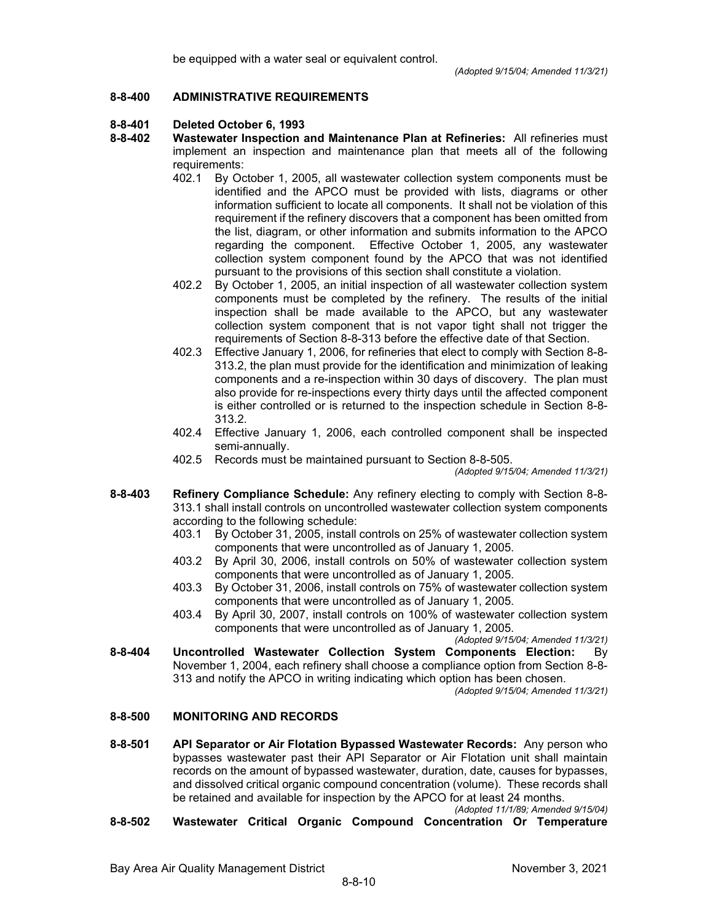### **8-8-400 ADMINISTRATIVE REQUIREMENTS**

### **8-8-401 Deleted October 6, 1993**

- **8-8-402 Wastewater Inspection and Maintenance Plan at Refineries:** All refineries must implement an inspection and maintenance plan that meets all of the following requirements:
	- 402.1 By October 1, 2005, all wastewater collection system components must be identified and the APCO must be provided with lists, diagrams or other information sufficient to locate all components. It shall not be violation of this requirement if the refinery discovers that a component has been omitted from the list, diagram, or other information and submits information to the APCO regarding the component. Effective October 1, 2005, any wastewater collection system component found by the APCO that was not identified pursuant to the provisions of this section shall constitute a violation.
	- 402.2 By October 1, 2005, an initial inspection of all wastewater collection system components must be completed by the refinery. The results of the initial inspection shall be made available to the APCO, but any wastewater collection system component that is not vapor tight shall not trigger the requirements of Section 8-8-313 before the effective date of that Section.
	- 402.3 Effective January 1, 2006, for refineries that elect to comply with Section 8-8- 313.2, the plan must provide for the identification and minimization of leaking components and a re-inspection within 30 days of discovery. The plan must also provide for re-inspections every thirty days until the affected component is either controlled or is returned to the inspection schedule in Section 8-8- 313.2.
	- 402.4 Effective January 1, 2006, each controlled component shall be inspected semi-annually.
	- 402.5 Records must be maintained pursuant to Section 8-8-505.

*(Adopted 9/15/04; Amended 11/3/21)*

- **8-8-403 Refinery Compliance Schedule:** Any refinery electing to comply with Section 8-8- 313.1 shall install controls on uncontrolled wastewater collection system components according to the following schedule:
	- 403.1 By October 31, 2005, install controls on 25% of wastewater collection system components that were uncontrolled as of January 1, 2005.
	- 403.2 By April 30, 2006, install controls on 50% of wastewater collection system components that were uncontrolled as of January 1, 2005.
	- 403.3 By October 31, 2006, install controls on 75% of wastewater collection system components that were uncontrolled as of January 1, 2005.
	- 403.4 By April 30, 2007, install controls on 100% of wastewater collection system components that were uncontrolled as of January 1, 2005.

*(Adopted 9/15/04; Amended 11/3/21)*

**8-8-404 Uncontrolled Wastewater Collection System Components Election:** By November 1, 2004, each refinery shall choose a compliance option from Section 8-8- 313 and notify the APCO in writing indicating which option has been chosen.

*(Adopted 9/15/04; Amended 11/3/21)*

## **8-8-500 MONITORING AND RECORDS**

**8-8-501 API Separator or Air Flotation Bypassed Wastewater Records:** Any person who bypasses wastewater past their API Separator or Air Flotation unit shall maintain records on the amount of bypassed wastewater, duration, date, causes for bypasses, and dissolved critical organic compound concentration (volume). These records shall be retained and available for inspection by the APCO for at least 24 months. *(Adopted 11/1/89; Amended 9/15/04)*

**8-8-502 Wastewater Critical Organic Compound Concentration Or Temperature**